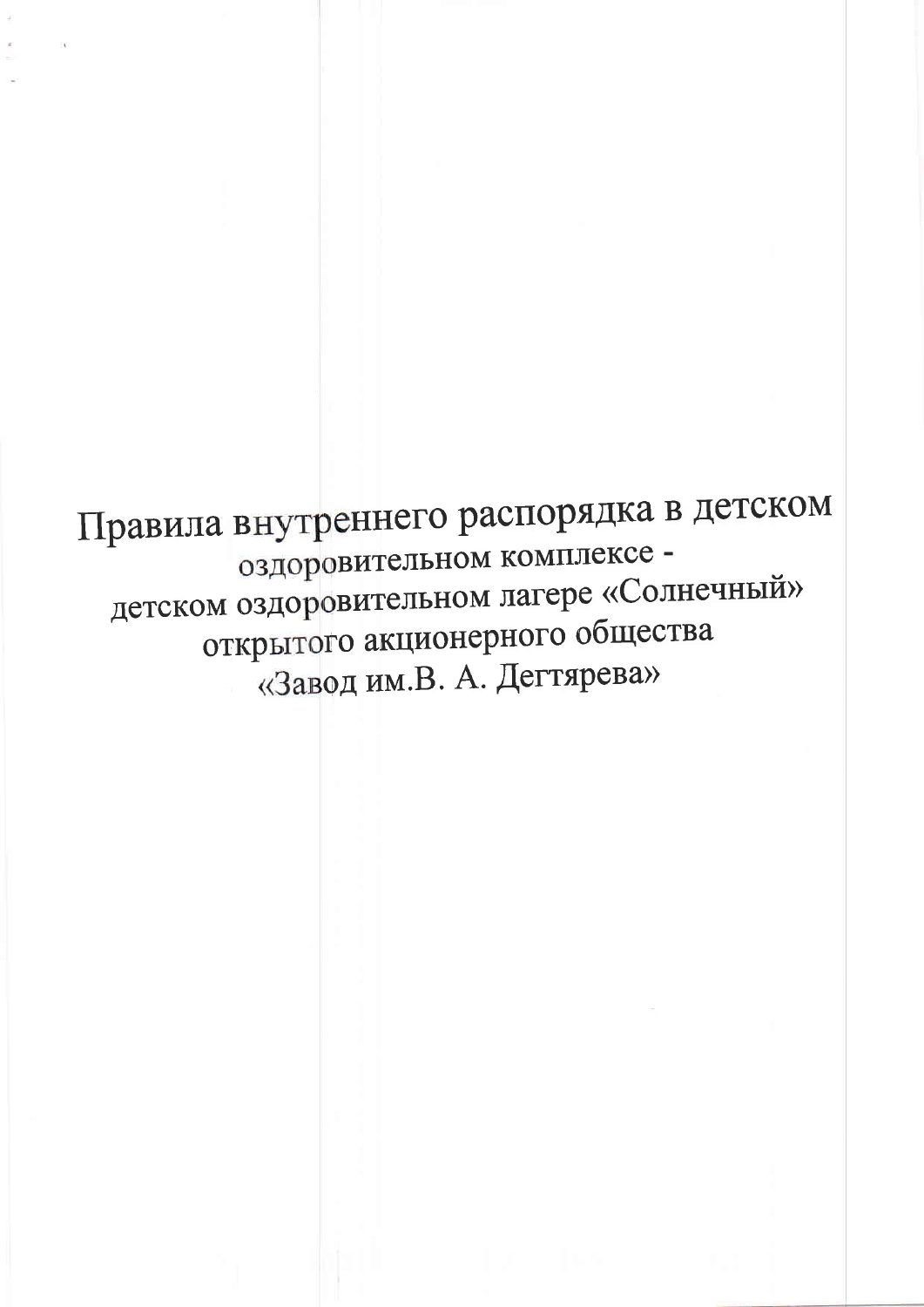Правила внутреннего распорядка в детском оздоровительном комплексе детском оздоровительном лагере «Солнечный» открытого акционерного общества «Завод им.В. А. Дегтярева»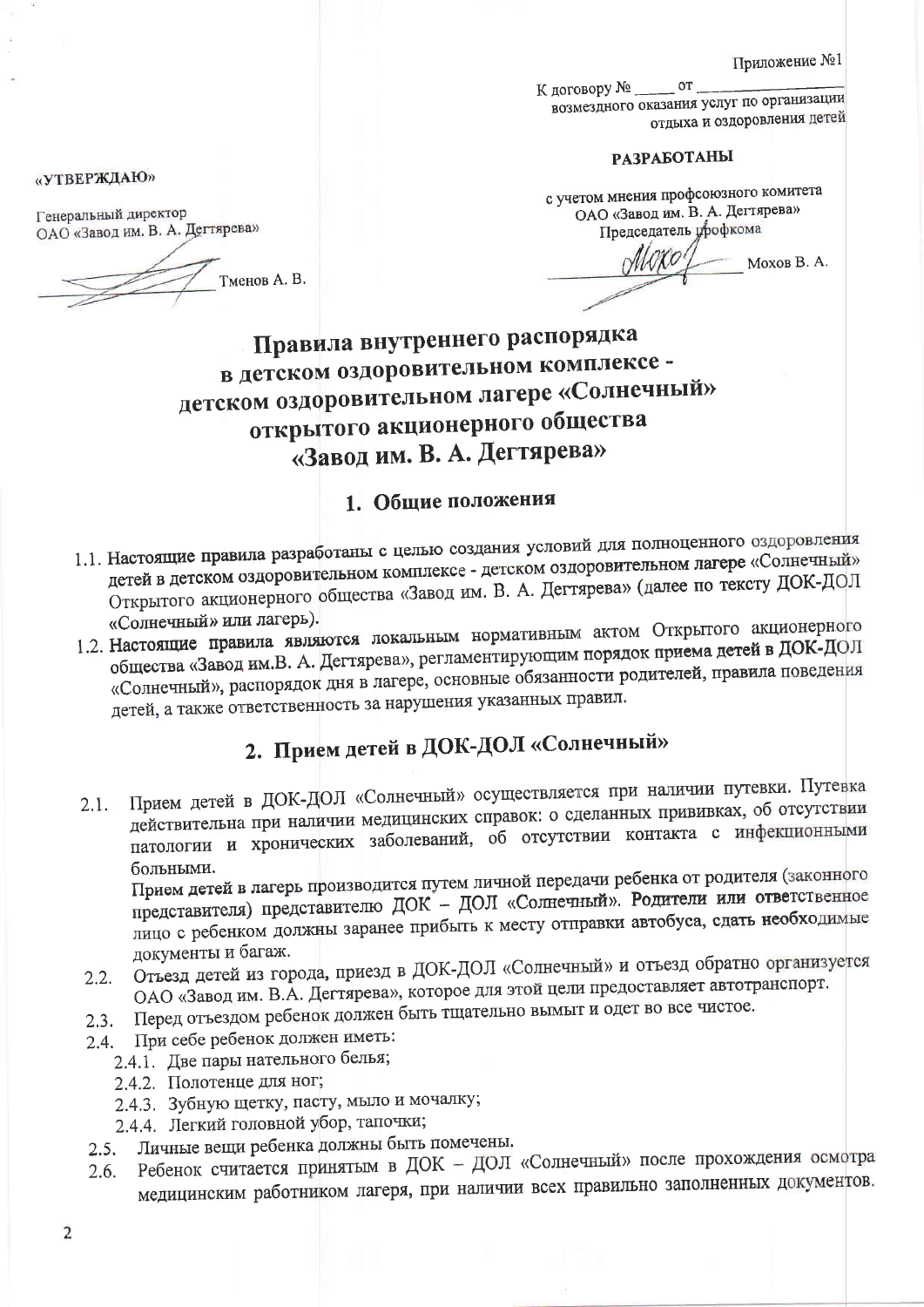К договору № \_ 0T возмездного оказания услуг по организации отдыха и оздоровления детей

#### РАЗРАБОТАНЫ

с учетом мнения профсоюзного комитета ОАО «Завод им. В. А. Дегтярева» Председатель урофкома

Мохов В. А.

## Правила внутреннего распорядка в детском оздоровительном комплексе детском оздоровительном лагере «Солнечный» открытого акционерного общества «Завод им. В. А. Дегтярева»

#### 1. Общие положения

- 1.1. Настоящие правила разработаны с целью создания условий для полноценного оздоровления детей в детском оздоровительном комплексе - детском оздоровительном лагере «Солнечный» Открытого акционерного общества «Завод им. В. А. Дегтярева» (далее по тексту ДОК-ДОЛ «Солнечный» или лагерь).
- 1.2. Настоящие правила являются локальным нормативным актом Открытого акционерного общества «Завод им.В. А. Дегтярева», регламентирующим порядок приема детей в ДОК-ДОЛ «Солнечный», распорядок дня в лагере, основные обязанности родителей, правила поведения детей, а также ответственность за нарушения указанных правил.

# 2. Прием детей в ДОК-ДОЛ «Солнечный»

Прием детей в ДОК-ДОЛ «Солнечный» осуществляется при наличии путевки. Путевка действительна при наличии медицинских справок: о сделанных прививках, об отсутствии  $2.1.$ патологии и хронических заболеваний, об отсутствии контакта с инфекционными больными.

Прием детей в лагерь производится путем личной передачи ребенка от родителя (законного представителя) представителю ДОК - ДОЛ «Солнечный». Родители или ответственное лицо с ребенком должны заранее прибыть к месту отправки автобуса, сдать необходимые документы и багаж.

- Отъезд детей из города, приезд в ДОК-ДОЛ «Солнечный» и отъезд обратно организуется  $2.2.$ ОАО «Завод им. В.А. Дегтярева», которое для этой цели предоставляет автотранспорт.
- Перед отъездом ребенок должен быть тщательно вымыт и одет во все чистое.  $2.3.$
- 2.4. При себе ребенок должен иметь:
	- 2.4.1. Две пары нательного белья;
		- 2.4.2. Полотенце для ног;
		- 2.4.3. Зубную щетку, пасту, мыло и мочалку;
		- 2.4.4. Легкий головной убор, тапочки;
- Личные вещи ребенка должны быть помечены.  $2.5.$
- Ребенок считается принятым в ДОК ДОЛ «Солнечный» после прохождения осмотра  $2.6.$ медицинским работником лагеря, при наличии всех правильно заполненных документов.

«УТВЕРЖДАЮ»

Генеральный директор ОАО «Завод им. В. А. Дегтярева»

Тменов А. В.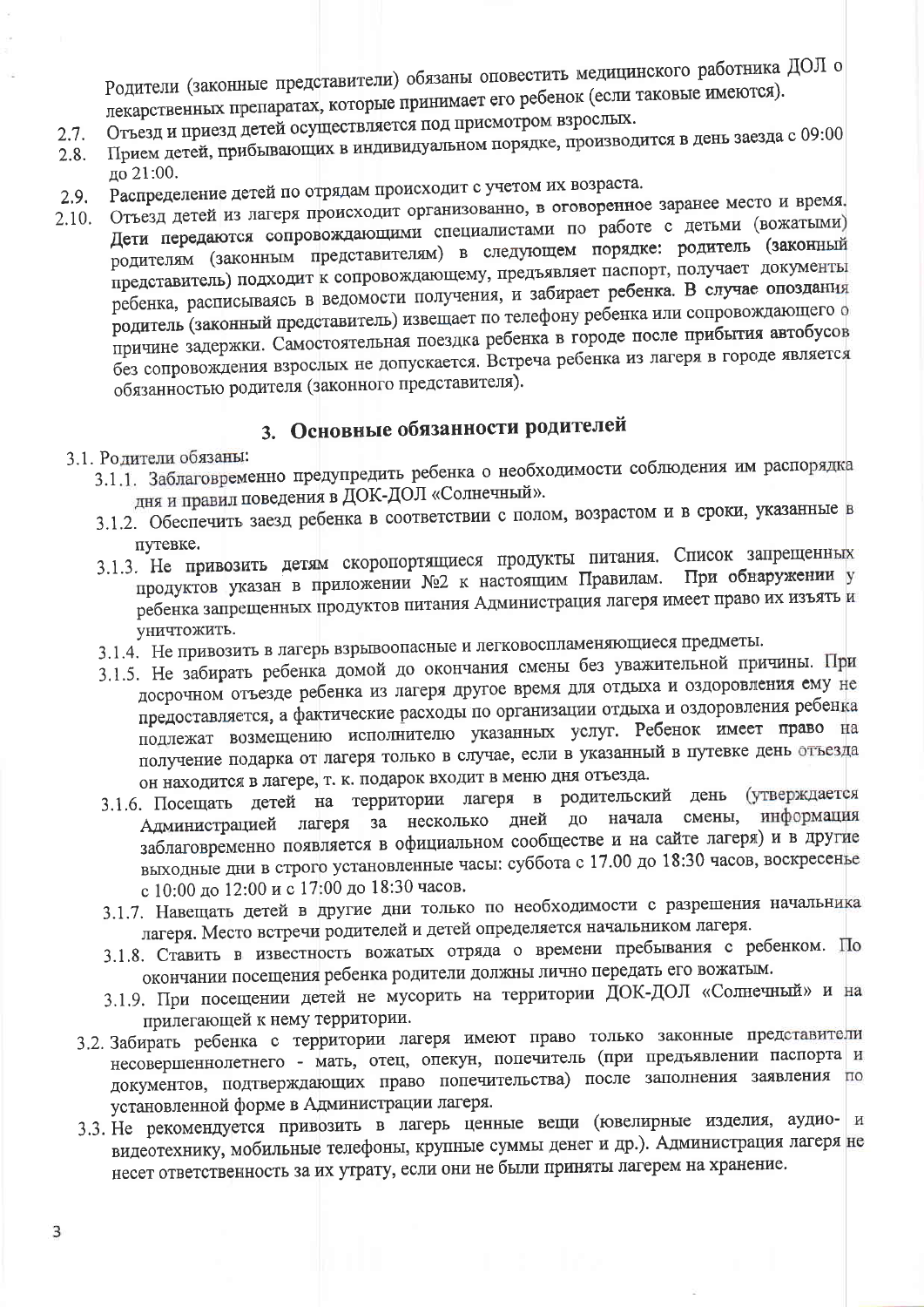Родители (законные представители) обязаны оповестить медицинского работника ДОЛ о лекарственных препаратах, которые принимает его ребенок (если таковые имеются).

- Отъезд и приезд детей осуществляется под присмотром взрослых.
- Прием детей, прибывающих в индивидуальном порядке, производится в день заезда с 09:00  $2.7.$  $2.8.$
- до 21:00. Распределение детей по отрядам происходит с учетом их возраста.  $2.9.$
- Отъезд детей из лагеря происходит организованно, в оговоренное заранее место и время.  $2.10.$ Дети передаются сопровождающими специалистами по работе с детьми (вожатыми) родителям (законным представителям) в следующем порядке: родитель (законный представитель) подходит к сопровождающему, предъявляет паспорт, получает документы ребенка, расписываясь в ведомости получения, и забирает ребенка. В случае опоздания родитель (законный представитель) извещает по телефону ребенка или сопровождающего о причине задержки. Самостоятельная поездка ребенка в городе после прибытия автобусов без сопровождения взрослых не допускается. Встреча ребенка из лагеря в городе является обязанностью родителя (законного представителя).

## 3. Основные обязанности родителей

- 3.1. Родители обязаны:
	- 3.1.1. Заблаговременно предупредить ребенка о необходимости соблюдения им распорядка дня и правил поведения в ДОК-ДОЛ «Солнечный».
	- 3.1.2. Обеспечить заезд ребенка в соответствии с полом, возрастом и в сроки, указанные в путевке.
	- 3.1.3. Не привозить детям скоропортящиеся продукты питания. Список запрещенных При обнаружении у продуктов указан в приложении №2 к настоящим Правилам. ребенка запрещенных продуктов питания Администрация лагеря имеет право их изъять и уничтожить.
	- 3.1.4. Не привозить в лагерь взрывоопасные и легковоспламеняющиеся предметы.
	- 3.1.5. Не забирать ребенка домой до окончания смены без уважительной причины. При досрочном отъезде ребенка из лагеря другое время для отдыха и оздоровления ему не предоставляется, а фактические расходы по организации отдыха и оздоровления ребенка подлежат возмещению исполнителю указанных услуг. Ребенок имеет право на получение подарка от лагеря только в случае, если в указанный в путевке день отъезда он находится в лагере, т. к. подарок входит в меню дня отъезда.
	- 3.1.6. Посещать детей на территории лагеря в родительский день (утверждается Администрацией лагеря за несколько дней до начала смены, информация заблаговременно появляется в официальном сообществе и на сайте лагеря) и в другие выходные дни в строго установленные часы: суббота с 17.00 до 18:30 часов, воскресенье с 10:00 до 12:00 и с 17:00 до 18:30 часов.
	- 3.1.7. Навещать детей в другие дни только по необходимости с разрешения начальника лагеря. Место встречи родителей и детей определяется начальником лагеря.
	- 3.1.8. Ставить в известность вожатых отряда о времени пребывания с ребенком. По окончании посещения ребенка родители должны лично передать его вожатым.
	- 3.1.9. При посещении детей не мусорить на территории ДОК-ДОЛ «Солнечный» и на прилегающей к нему территории.
	- 3.2. Забирать ребенка с территории лагеря имеют право только законные представители несовершеннолетнего - мать, отец, опекун, попечитель (при предъявлении паспорта и документов, подтверждающих право попечительства) после заполнения заявления по установленной форме в Администрации лагеря.
	- 3.3. Не рекомендуется привозить в лагерь ценные вещи (ювелирные изделия, аудио- и видеотехнику, мобильные телефоны, крупные суммы денег и др.). Администрация лагеря не несет ответственность за их утрату, если они не были приняты лагерем на хранение.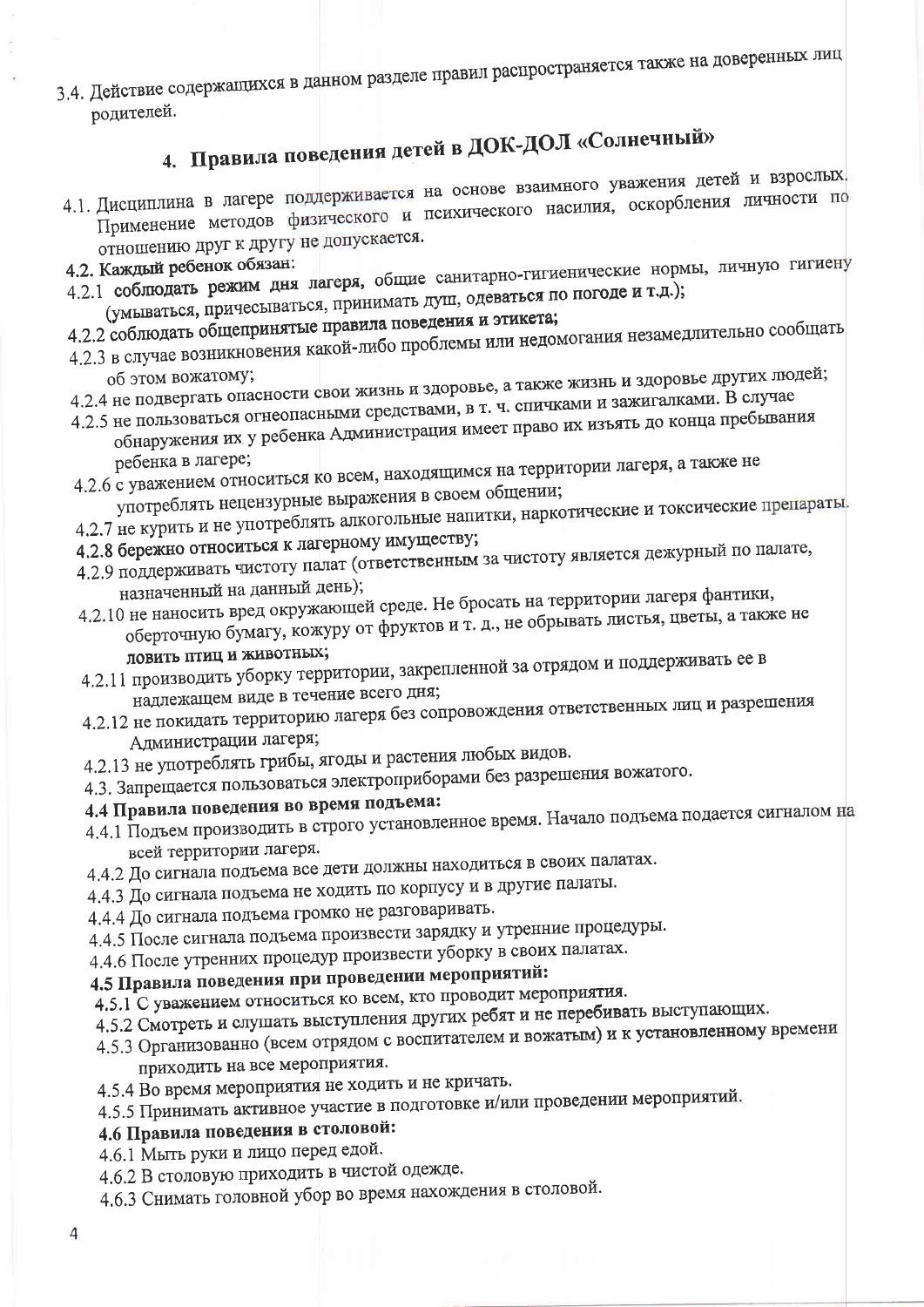3.4. Действие содержащихся в данном разделе правил распространяется также на доверенных лиц родителей.

# 4. Правила поведения детей в ДОК-ДОЛ «Солнечный»

- 4.1. Дисциплина в лагере поддерживается на основе взаимного уважения детей и взрослых. Применение методов физического и психического насилия, оскорбления личности по отношению друг к другу не допускается.
- 4.2. Каждый ребенок обязан:
- 4.2.1 соблюдать режим дня лагеря, общие санитарно-гигиенические нормы, личную гигиену (умываться, причесываться, принимать душ, одеваться по погоде и т.д.);
	-
- 4.2.2 соблюдать общепринятые правила поведения и этикета; 4.2.3 в случае возникновения какой-либо проблемы или недомогания незамедлительно сообщать
- 4.2.4 не подвергать опасности свои жизнь и здоровье, а также жизнь и здоровье других людей;
- 4.2.5 не пользоваться огнеопасными средствами, в т. ч. спичками и зажигалками. В случае
- обнаружения их у ребенка Администрация имеет право их изъять до конца пребывания
- 4.2.6 с уважением относиться ко всем, находящимся на территории лагеря, а также не
- употреблять нецензурные выражения в своем общении; 4.2.7 не курить и не употреблять алкогольные напитки, наркотические и токсические препараты.
- 4.2.8 бережно относиться к лагерному имуществу;
- 4.2.9 поддерживать чистоту палат (ответственным за чистоту является дежурный по палате,
	- назначенный на данный день);
- 4.2.10 не наносить вред окружающей среде. Не бросать на территории лагеря фантики, оберточную бумагу, кожуру от фруктов и т. д., не обрывать листья, цветы, а также не ловить птиц и животных;
- 4.2.11 производить уборку территории, закрепленной за отрядом и поддерживать ее в
- надлежащем виде в течение всего дня; 4.2.12 не покидать территорию лагеря без сопровождения ответственных лиц и разрешения
- Администрации лагеря; 4.2.13 не употреблять грибы, ягоды и растения любых видов.
- 4.3. Запрещается пользоваться электроприборами без разрешения вожатого.

## 4.4 Правила поведения во время подъема:

- 4.4.1 Подъем производить в строго установленное время. Начало подъема подается сигналом на всей территории лагеря.
- 4.4.2 До сигнала подъема все дети должны находиться в своих палатах.
- 4.4.3 До сигнала подъема не ходить по корпусу и в другие палаты.
- 4.4.4 До сигнала подъема громко не разговаривать.
- 4.4.5 После сигнала подъема произвести зарядку и утренние процедуры.
- 4.4.6 После утренних процедур произвести уборку в своих палатах.

# 4.5 Правила поведения при проведении мероприятий:

- 4.5.1 С уважением относиться ко всем, кто проводит мероприятия.
- 4.5.2 Смотреть и слушать выступления других ребят и не перебивать выступающих.
- 4.5.3 Организованно (всем отрядом с воспитателем и вожатьм) и к установленному времени приходить на все мероприятия.
- 4.5.4 Во время мероприятия не ходить и не кричать.
- 4.5.5 Принимать активное участие в подготовке и/или проведении мероприятий.

#### 4.6 Правила поведения в столовой:

- 4.6.1 Мыть руки и лицо перед едой.
- 4.6.2 В столовую приходить в чистой одежде.
- 4.6.3 Снимать головной убор во время нахождения в столовой.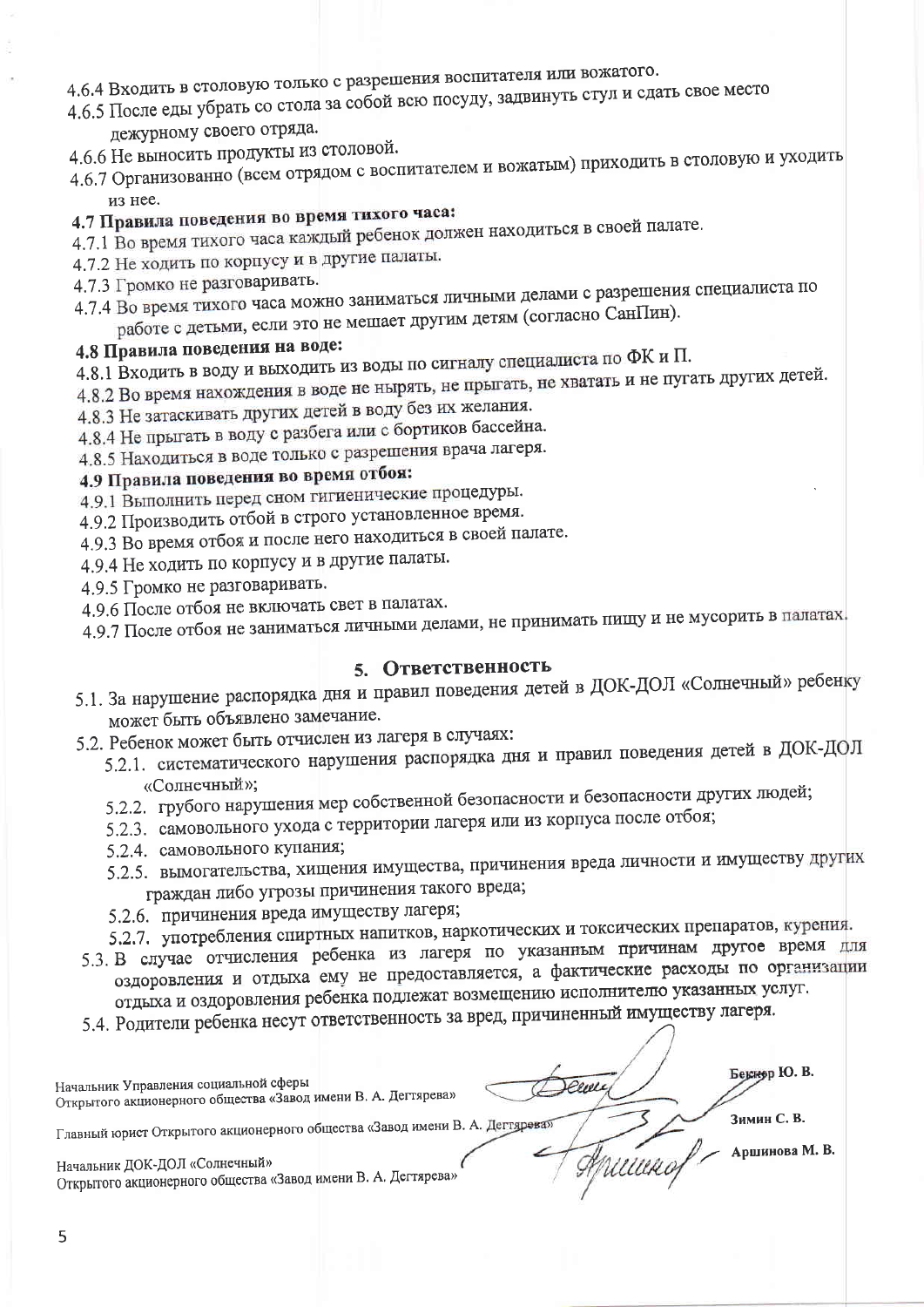- 4.6.4 Входить в столовую только с разрешения воспитателя или вожатого.
- 4.6.5 После еды убрать со стола за собой всю посуду, задвинуть стул и сдать свое место
	- дежурному своего отряда.
- 4.6.6 Не выносить продукты из столовой.
- 4.6.7 Организованно (всем отрядом с воспитателем и вожатым) приходить в столовую и уходить из нее.

# 4.7 Правила поведения во время тихого часа:

- 4.7.1 Во время тихого часа каждый ребенок должен находиться в своей палате.
- 4.7.2 Не ходить по корпусу и в другие палаты.
- 4.7.3 Громко не разговаривать.
- 4.7.4 Во время тихого часа можно заниматься личными делами с разрешения специалиста по
- работе с детьми, если это не мешает другим детям (согласно СанПин).

#### 4.8 Правила поведения на воде:

- 4.8.1 Входить в воду и выходить из воды по сигналу специалиста по ФК и П.
- 4.8.2 Во время нахождения в воде не нырять, не прыгать, не хватать и не пугать других детей.
- 4.8.3 Не затаскивать других детей в воду без их желания.
- 4.8.4 Не прыгать в воду с разбега или с бортиков бассейна.
- 4.8.5 Находиться в воде только с разрешения врача лагеря.

## 4.9 Правила поведения во время отбоя:

- 4.9.1 Выполнить перед сном гигиенические процедуры.
- 4.9.2 Производить отбой в строго установленное время.
- 4.9.3 Во время отбоя и после него находиться в своей палате.
- 4.9.4 Не ходить по корпусу и в другие палаты.
- 4.9.5 Громко не разговаривать.
- 4.9.6 После отбоя не включать свет в палатах.
- 4.9.7 После отбоя не заниматься личными делами, не принимать пищу и не мусорить в палатах.

#### 5. Ответственность

- 5.1. За нарушение распорядка дня и правил поведения детей в ДОК-ДОЛ «Солнечный» ребенку может быть объявлено замечание.
- 5.2. Ребенок может быть отчислен из лагеря в случаях:
	- 5.2.1. систематического нарушения распорядка дня и правил поведения детей в ДОК-ДОЛ «Солнечный»;
	- 5.2.2. грубого нарушения мер собственной безопасности и безопасности других людей;
	- 5.2.3. самовольного ухода с территории лагеря или из корпуса после отбоя;
	- 5.2.4. самовольного купания;
	- 5.2.5. вымогательства, хищения имущества, причинения вреда личности и имуществу других
		- граждан либо угрозы причинения такого вреда;
	- 5.2.6. причинения вреда имуществу лагеря;
	- 5.2.7. употребления спиртных напитков, наркотических и токсических препаратов, курения.
- 5.3. В случае отчисления ребенка из лагеря по указанным причинам другое время для оздоровления и отдыха ему не предоставляется, а фактические расходы по организации отдыха и оздоровления ребенка подлежат возмещению исполнителю указанных услуг.
- 5.4. Родители ребенка несут ответственность за вред, причиненный имуществу лагеря.

Беккер Ю. В. Начальник Управления социальной сферы Открытого акционерного общества «Завод имени В. А. Дегтярева» Зимин С. В. Главный юрист Открытого акционерного общества «Завод имени В. А. Дегтярева» Anima Аршинова М. В. Начальник ДОК-ДОЛ «Солнечный» Открытого акционерного общества «Завод имени В. А. Дегтярева»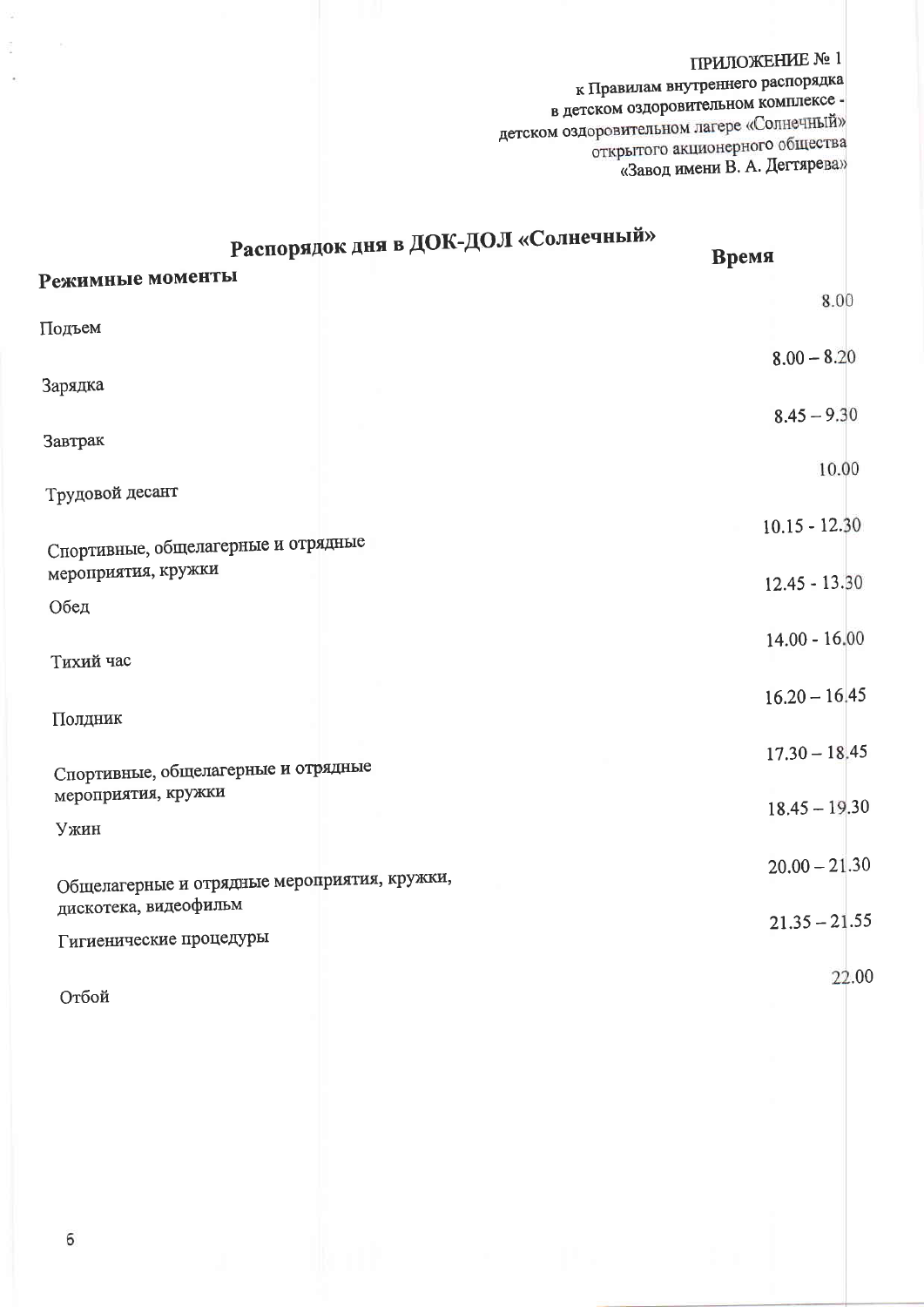ПРИЛОЖЕНИЕ № 1 к Правилам внутреннего распорядка<br>в детском оздоровительном комплексе детском оздоровительном лагере «Солнечный» открытого акционерного общества<br>«Завод имени В. А. Дегтярева»

| Распорядок дня в ДОК-ДОЛ «Солнечный»                                  | Время           |       |
|-----------------------------------------------------------------------|-----------------|-------|
| Режимные моменты                                                      |                 |       |
| Подъем                                                                | 8.00            |       |
|                                                                       | $8.00 - 8.20$   |       |
| Зарядка                                                               | $8.45 - 9.30$   |       |
| Завтрак                                                               |                 |       |
| Трудовой десант                                                       | 10.00           |       |
|                                                                       | $10.15 - 12.30$ |       |
| Спортивные, общелагерные и отрядные<br>мероприятия, кружки            | $12.45 - 13.30$ |       |
| Обед                                                                  |                 |       |
| Тихий час                                                             | $14.00 - 16.00$ |       |
|                                                                       | $16.20 - 16.45$ |       |
| Полдник                                                               | $17.30 - 18.45$ |       |
| Спортивные, общелагерные и отрядные<br>мероприятия, кружки            |                 |       |
| Ужин                                                                  | $18.45 - 19.30$ |       |
|                                                                       | $20.00 - 21.30$ |       |
| Общелагерные и отрядные мероприятия, кружки,<br>дискотека, видеофильм |                 |       |
| Гигиенические процедуры                                               | $21.35 - 21.55$ |       |
| Отбой                                                                 |                 | 22.00 |
|                                                                       |                 |       |
|                                                                       |                 |       |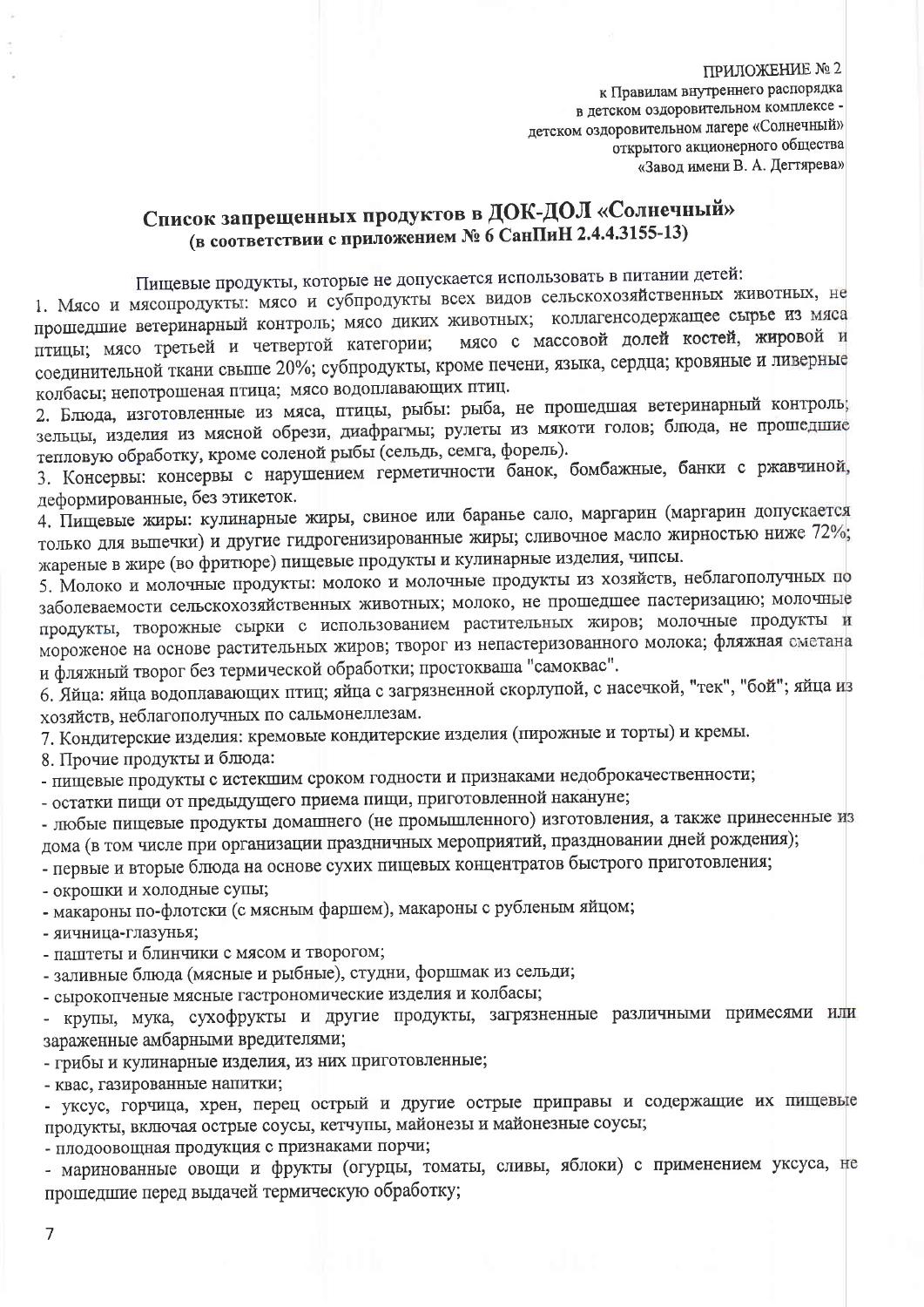#### ПРИЛОЖЕНИЕ № 2

к Правилам внутреннего распорядка в детском оздоровительном комплексе детском оздоровительном лагере «Солнечный» открытого акционерного общества «Завод имени В. А. Дегтярева»

#### Список запрещенных продуктов в ДОК-ДОЛ «Солнечный» (в соответствии с приложением № 6 СанПиН 2.4.4.3155-13)

Пищевые продукты, которые не допускается использовать в питании детей:

1. Мясо и мясопродукты: мясо и субпродукты всех видов сельскохозяйственных животных, не прошедшие ветеринарный контроль; мясо диких животных; коллагенсодержащее сырье из мяса мясо с массовой долей костей, жировой и птицы; мясо третьей и четвертой категории; соединительной ткани свыше 20%; субпродукты, кроме печени, языка, сердца; кровяные и ливерные колбасы; непотрошеная птица; мясо водоплавающих птиц.

2. Блюда, изготовленные из мяса, птицы, рыбы: рыба, не прошедшая ветеринарный контроль, зельцы, изделия из мясной обрези, диафрагмы; рулеты из мякоти голов; блюда, не прошедшие тепловую обработку, кроме соленой рыбы (сельдь, семга, форель).

3. Консервы: консервы с нарушением герметичности банок, бомбажные, банки с ржавчиной, деформированные, без этикеток.

4. Пищевые жиры: кулинарные жиры, свиное или баранье сало, маргарин (маргарин допускается только для выпечки) и другие гидрогенизированные жиры; сливочное масло жирностью ниже 72%; жареные в жире (во фритюре) пищевые продукты и кулинарные изделия, чипсы.

5. Молоко и молочные продукты: молоко и молочные продукты из хозяйств, неблагополучных по заболеваемости сельскохозяйственных животных; молоко, не прошедшее пастеризацию; молочные продукты, творожные сырки с использованием растительных жиров; молочные продукты и мороженое на основе растительных жиров; творог из непастеризованного молока; фляжная сметана и фляжный творог без термической обработки; простокваша "самоквас".

6. Яйца: яйца водоплавающих птиц; яйца с загрязненной скорлупой, с насечкой, "тек", "бой"; яйца из хозяйств, неблагополучных по сальмонеллезам.

7. Кондитерские изделия: кремовые кондитерские изделия (пирожные и торты) и кремы.

8. Прочие продукты и блюда:

- пищевые продукты с истекшим сроком годности и признаками недоброкачественности;

- остатки пищи от предыдущего приема пищи, приготовленной накануне;

- любые пищевые продукты домашнего (не промышленного) изготовления, а также принесенные из дома (в том числе при организации праздничных мероприятий, праздновании дней рождения);

- первые и вторые блюда на основе сухих пищевых концентратов быстрого приготовления;

- окрошки и холодные супы;

- макароны по-флотски (с мясным фаршем), макароны с рубленым яйцом;

- яичница-глазунья;

- паштеты и блинчики с мясом и творогом;

- заливные блюда (мясные и рыбные), студни, форшмак из сельди;

- сырокопченые мясные гастрономические изделия и колбасы;

- крупы, мука, сухофрукты и другие продукты, загрязненные различными примесями или зараженные амбарными вредителями;

- грибы и кулинарные изделия, из них приготовленные;

- квас, газированные напитки;

- уксус, горчица, хрен, перец острый и другие острые приправы и содержащие их пищевые продукты, включая острые соусы, кетчупы, майонезы и майонезные соусы;

- плодоовощная продукция с признаками порчи;

- маринованные овощи и фрукты (огурцы, томаты, сливы, яблоки) с применением уксуса, не прошедшие перед выдачей термическую обработку;